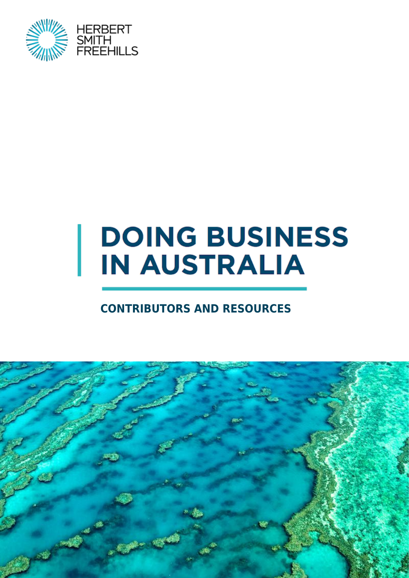

# **DOING BUSINESS IN AUSTRALIA**

#### **CONTRIBUTORS AND RESOURCES**

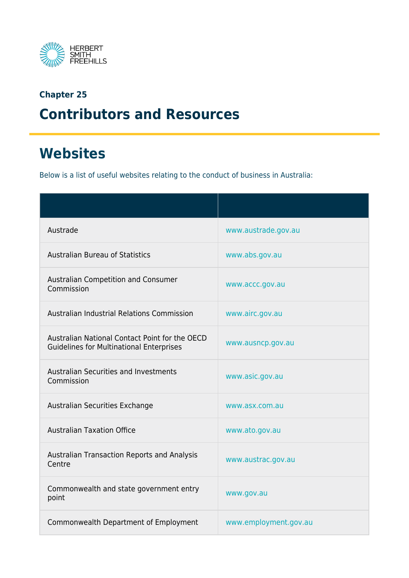

#### **Chapter 25 Contributors and Resources**

### **Websites**

Below is a list of useful websites relating to the conduct of business in Australia:

| Austrade                                                                                          | www.austrade.gov.au   |
|---------------------------------------------------------------------------------------------------|-----------------------|
| <b>Australian Bureau of Statistics</b>                                                            | www.abs.gov.au        |
| Australian Competition and Consumer<br>Commission                                                 | www.accc.gov.au       |
| <b>Australian Industrial Relations Commission</b>                                                 | www.airc.gov.au       |
| Australian National Contact Point for the OECD<br><b>Guidelines for Multinational Enterprises</b> | www.ausncp.gov.au     |
| <b>Australian Securities and Investments</b><br>Commission                                        | www.asic.gov.au       |
| Australian Securities Exchange                                                                    | www.asx.com.au        |
| <b>Australian Taxation Office</b>                                                                 | www.ato.gov.au        |
| <b>Australian Transaction Reports and Analysis</b><br>Centre                                      | www.austrac.gov.au    |
| Commonwealth and state government entry<br>point                                                  | www.gov.au            |
| Commonwealth Department of Employment                                                             | www.employment.gov.au |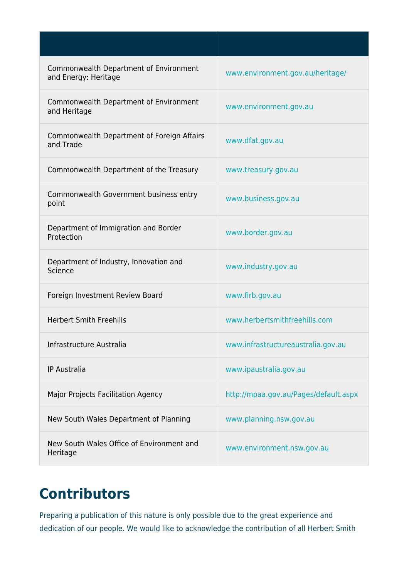| Commonwealth Department of Environment<br>and Energy: Heritage | www.environment.gov.au/heritage/      |
|----------------------------------------------------------------|---------------------------------------|
| Commonwealth Department of Environment<br>and Heritage         | www.environment.gov.au                |
| Commonwealth Department of Foreign Affairs<br>and Trade        | www.dfat.gov.au                       |
| Commonwealth Department of the Treasury                        | www.treasury.gov.au                   |
| Commonwealth Government business entry<br>point                | www.business.gov.au                   |
| Department of Immigration and Border<br>Protection             | www.border.gov.au                     |
| Department of Industry, Innovation and<br>Science              | www.industry.gov.au                   |
| Foreign Investment Review Board                                | www.firb.gov.au                       |
| <b>Herbert Smith Freehills</b>                                 | www.herbertsmithfreehills.com         |
| Infrastructure Australia                                       | www.infrastructureaustralia.gov.au    |
| <b>IP Australia</b>                                            | www.ipaustralia.gov.au                |
| Major Projects Facilitation Agency                             | http://mpaa.gov.au/Pages/default.aspx |
| New South Wales Department of Planning                         | www.planning.nsw.gov.au               |
| New South Wales Office of Environment and<br>Heritage          | www.environment.nsw.gov.au            |

## **Contributors**

Preparing a publication of this nature is only possible due to the great experience and dedication of our people. We would like to acknowledge the contribution of all Herbert Smith